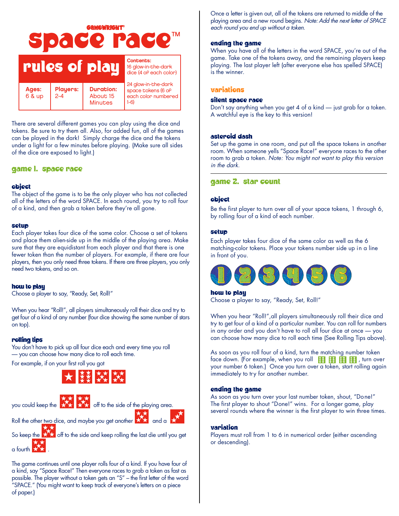

There are several different games you can play using the dice and tokens. Be sure to try them all. Also, for added fun, all of the games can be played in the dark! Simply charge the dice and the tokens under a light for a few minutes before playing. (Make sure all sides of the dice are exposed to light.)

## game I. space race

## Object

The object of the game is to be the only player who has not collected all of the letters of the word SPACE. In each round, you try to roll four of a kind, and then grab a token before they're all gone.

### Setup

Each player takes four dice of the same color. Choose a set of tokens and place them alien-side up in the middle of the playing area. Make sure that they are equidistant from each player and that there is one fewer token than the number of players. For example, if there are four players, then you only need three tokens. If there are three players, you only need two tokens, and so on.

### how to play

Choose a player to say, "Ready, Set, Roll!"

When you hear "Roll!", all players simultaneously roll their dice and try to get four of a kind of any number (four dice showing the same number of stars on top).

## rolling tips

You don't have to pick up all four dice each and every time you roll — you can choose how many dice to roll each time.

For example, if on your first roll you got



![](_page_0_Picture_15.jpeg)

Roll the other two dice, and maybe you get another  $\mathbf{X}$  and a

So keep the  $\star\star$  off to the side and keep rolling the last die until you get  $a$  fourth  $\mathbf{R}$ 

The game continues until one player rolls four of a kind. If you have four of a kind, say "Space Race!" Then everyone races to grab a token as fast as possible. The player without a token gets an "S" – the first letter of the word "SPACE." (You might want to keep track of everyone's letters on a piece of paper.)

Once a letter is given out, all of the tokens are returned to middle of the playing area and a new round begins. *Note:Add the next letter of SPACE each round you end up without a token.*

## ending the game

When you have all of the letters in the word SPACE, you're out of the game. Take one of the tokens away, and the remaining players keep playing. The last player left (after everyone else has spelled SPACE) is the winner.

### Variations

## silent space race

Don't say anything when you get 4 of a kind — just grab for a token. A watchful eye is the key to this version!

### asteroid dash

Set up the game in one room, and put all the space tokens in another room. When someone yells "Space Race!" everyone races to the other room to grab a token. *Note: You might not want to play this version in the dark.*

## game 2. star count

### Object

Be the first player to turn over all of your space tokens, 1 through 6, by rolling four of a kind of each number.

### Setup

Each player takes four dice of the same color as well as the 6 matching-color tokens. Place your tokens number side up in a line in front of you.

![](_page_0_Picture_32.jpeg)

how to play

Choose a player to say, "Ready, Set, Roll!"

When you hear "Roll!",all players simultaneously roll their dice and try to get four of a kind of a particular number. You can roll for numbers in any order and you don't have to roll all four dice at once — you can choose how many dice to roll each time (See Rolling Tips above).

As soon as you roll four of a kind, turn the matching number token face down. (For example, when you roll  $\frac{12}{100}$ ,  $\frac{12}{100}$ ,  $\frac{12}{100}$ , turn over your number 6 token.) Once you turn over a token, start rolling again immediately to try for another number.

### ending the game

As soon as you turn over your last number token, shout, "Done!" The first player to shout "Done!" wins. For a longer game, play several rounds where the winner is the first player to win three times.

## Variation

Players must roll from 1 to 6 in numerical order (either ascending or descending).